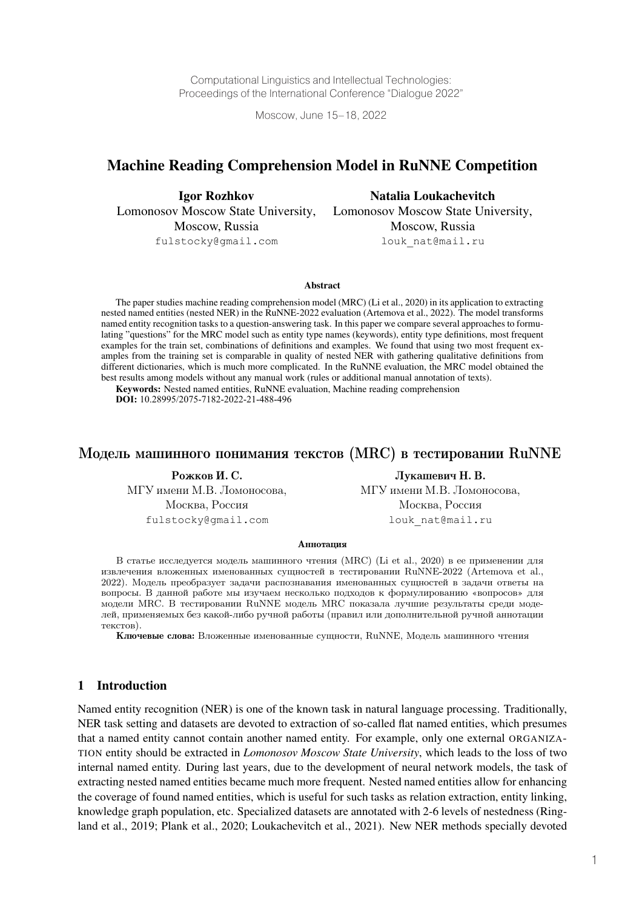Computational Linguistics and Intellectual Technologies: Proceedings of the International Conference "Dialogue 2022"

Moscow, June 15–18, 2022

# Machine Reading Comprehension Model in RuNNE Competition

Igor Rozhkov Lomonosov Moscow State University, Moscow, Russia fulstocky@gmail.com

Natalia Loukachevitch Lomonosov Moscow State University, Moscow, Russia louk nat@mail.ru

Abstract

The paper studies machine reading comprehension model (MRC) (Li et al., 2020) in its application to extracting nested named entities (nested NER) in the RuNNE-2022 evaluation (Artemova et al., 2022). The model transforms named entity recognition tasks to a question-answering task. In this paper we compare several approaches to formulating "questions" for the MRC model such as entity type names (keywords), entity type definitions, most frequent examples for the train set, combinations of definitions and examples. We found that using two most frequent examples from the training set is comparable in quality of nested NER with gathering qualitative definitions from different dictionaries, which is much more complicated. In the RuNNE evaluation, the MRC model obtained the best results among models without any manual work (rules or additional manual annotation of texts).

Keywords: Nested named entities, RuNNE evaluation, Machine reading comprehension **DOI:** 10.28995/2075-7182-2022-21-488-496

#### Модель машинного понимания текстов (MRC) в тестировании RuNNE

Рожков И. С. МГУ имени М.В. Ломоносова, Москва, Россия fulstocky@gmail.com

Лукашевич Н. В. МГУ имени М.В. Ломоносова, Москва, Россия louk\_nat@mail.ru

#### **Аннотация**

В статье исследуется модель машинного чтения (MRC) (Li et al., 2020) в ее применении для извлечения вложенных именованных сущностей в тестировании RuNNE-2022 (Artemova et al., 2022). Модель преобразует задачи распознавания именованных сущностей в задачи ответы на вопросы. В данной работе мы изучаем несколько подходов к формулированию «вопросов» для модели MRC. В тестировании RuNNE модель MRC показала лучшие результаты среди моделей, применяемых без какой-либо ручной работы (правил или дополнительной ручной аннотации текстов).

Ключевые слова: Вложенные именованные сущности, RuNNE, Модель машинного чтения

### 1 Introduction

Named entity recognition (NER) is one of the known task in natural language processing. Traditionally, NER task setting and datasets are devoted to extraction of so-called flat named entities, which presumes that a named entity cannot contain another named entity. For example, only one external ORGANIZA-TION entity should be extracted in *Lomonosov Moscow State University*, which leads to the loss of two internal named entity. During last years, due to the development of neural network models, the task of extracting nested named entities became much more frequent. Nested named entities allow for enhancing the coverage of found named entities, which is useful for such tasks as relation extraction, entity linking, knowledge graph population, etc. Specialized datasets are annotated with 2-6 levels of nestedness (Ringland et al., 2019; Plank et al., 2020; Loukachevitch et al., 2021). New NER methods specially devoted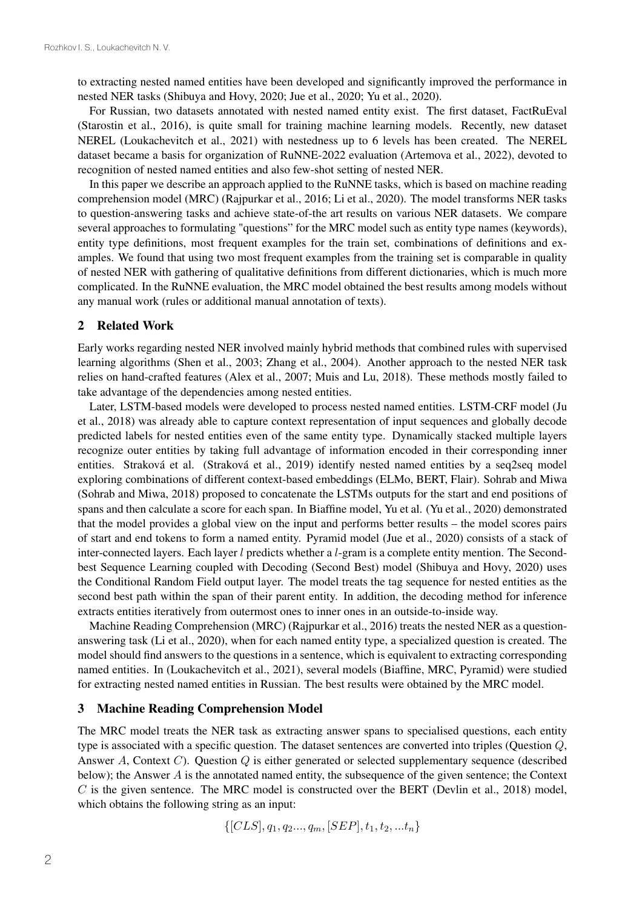to extracting nested named entities have been developed and significantly improved the performance in nested NER tasks (Shibuya and Hovy, 2020; Jue et al., 2020; Yu et al., 2020).

For Russian, two datasets annotated with nested named entity exist. The first dataset, FactRuEval (Starostin et al., 2016), is quite small for training machine learning models. Recently, new dataset NEREL (Loukachevitch et al., 2021) with nestedness up to 6 levels has been created. The NEREL dataset became a basis for organization of RuNNE-2022 evaluation (Artemova et al., 2022), devoted to recognition of nested named entities and also few-shot setting of nested NER.

In this paper we describe an approach applied to the RuNNE tasks, which is based on machine reading comprehension model (MRC) (Rajpurkar et al., 2016; Li et al., 2020). The model transforms NER tasks to question-answering tasks and achieve state-of-the art results on various NER datasets. We compare several approaches to formulating "questions" for the MRC model such as entity type names (keywords), entity type definitions, most frequent examples for the train set, combinations of definitions and examples. We found that using two most frequent examples from the training set is comparable in quality of nested NER with gathering of qualitative definitions from different dictionaries, which is much more complicated. In the RuNNE evaluation, the MRC model obtained the best results among models without any manual work (rules or additional manual annotation of texts).

## 2 Related Work

Early works regarding nested NER involved mainly hybrid methods that combined rules with supervised learning algorithms (Shen et al., 2003; Zhang et al., 2004). Another approach to the nested NER task relies on hand-crafted features (Alex et al., 2007; Muis and Lu, 2018). These methods mostly failed to take advantage of the dependencies among nested entities.

Later, LSTM-based models were developed to process nested named entities. LSTM-CRF model (Ju et al., 2018) was already able to capture context representation of input sequences and globally decode predicted labels for nested entities even of the same entity type. Dynamically stacked multiple layers recognize outer entities by taking full advantage of information encoded in their corresponding inner entities. Straková et al. (Straková et al., 2019) identify nested named entities by a seq2seq model exploring combinations of different context-based embeddings (ELMo, BERT, Flair). Sohrab and Miwa (Sohrab and Miwa, 2018) proposed to concatenate the LSTMs outputs for the start and end positions of spans and then calculate a score for each span. In Biaffine model, Yu et al. (Yu et al., 2020) demonstrated that the model provides a global view on the input and performs better results – the model scores pairs of start and end tokens to form a named entity. Pyramid model (Jue et al., 2020) consists of a stack of inter-connected layers. Each layer  $l$  predicts whether a  $l$ -gram is a complete entity mention. The Secondbest Sequence Learning coupled with Decoding (Second Best) model (Shibuya and Hovy, 2020) uses the Conditional Random Field output layer. The model treats the tag sequence for nested entities as the second best path within the span of their parent entity. In addition, the decoding method for inference extracts entities iteratively from outermost ones to inner ones in an outside-to-inside way.

Machine Reading Comprehension (MRC) (Rajpurkar et al., 2016) treats the nested NER as a questionanswering task (Li et al., 2020), when for each named entity type, a specialized question is created. The model should find answers to the questions in a sentence, which is equivalent to extracting corresponding named entities. In (Loukachevitch et al., 2021), several models (Biaffine, MRC, Pyramid) were studied for extracting nested named entities in Russian. The best results were obtained by the MRC model.

#### 3 Machine Reading Comprehension Model

The MRC model treats the NER task as extracting answer spans to specialised questions, each entity type is associated with a specific question. The dataset sentences are converted into triples (Question  $Q$ , Answer A, Context C). Question  $Q$  is either generated or selected supplementary sequence (described below); the Answer  $\vec{A}$  is the annotated named entity, the subsequence of the given sentence; the Context  $C$  is the given sentence. The MRC model is constructed over the BERT (Devlin et al., 2018) model, which obtains the following string as an input:

$$
\{[CLS], q_1, q_2..., q_m, [SEP], t_1, t_2,...t_n\}
$$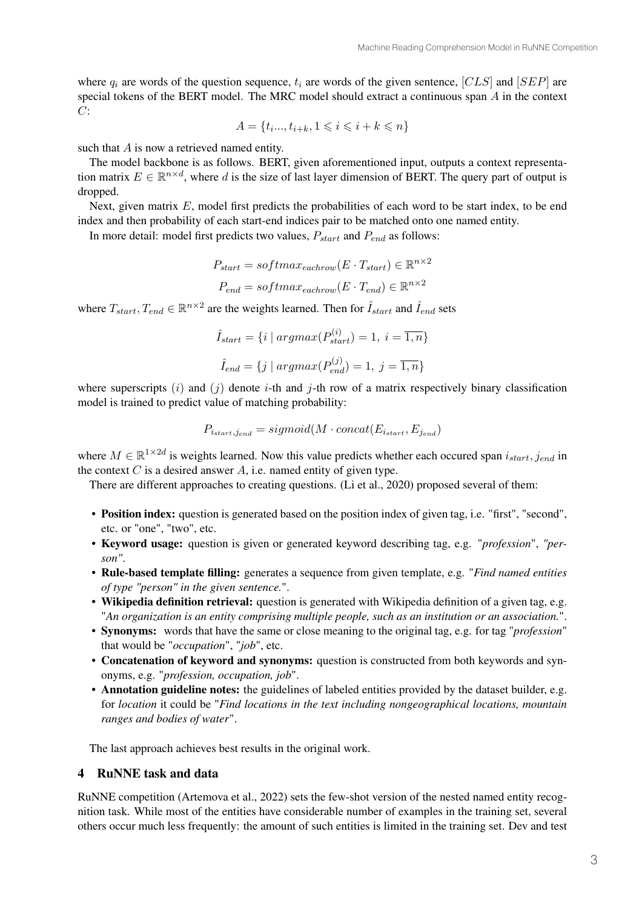where  $q_i$  are words of the question sequence,  $t_i$  are words of the given sentence,  $[CLS]$  and  $[SEP]$  are special tokens of the BERT model. The MRC model should extract a continuous span  $A$  in the context  $C:$ 

$$
A = \{t_i, t_{i+k}, 1 \le i \le i+k \le n\}
$$

such that  $A$  is now a retrieved named entity.

The model backbone is as follows. BERT, given aforementioned input, outputs a context representation matrix  $E \in \mathbb{R}^{n \times d}$ , where d is the size of last layer dimension of BERT. The query part of output is dropped.

Next, given matrix  $E$ , model first predicts the probabilities of each word to be start index, to be end index and then probability of each start-end indices pair to be matched onto one named entity.

In more detail: model first predicts two values,  $P_{start}$  and  $P_{end}$  as follows:

$$
P_{start} = softmax_{eachrow}(E \cdot T_{start}) \in \mathbb{R}^{n \times 2}
$$

$$
P_{end} = softmax_{eachrow}(E \cdot T_{end}) \in \mathbb{R}^{n \times 2}
$$

where  $T_{start}$ ,  $T_{end} \in \mathbb{R}^{n \times 2}$  are the weights learned. Then for  $\hat{I}_{start}$  and  $\hat{I}_{end}$  sets

$$
\hat{I}_{start} = \{i \mid argmax(P_{start}^{(i)}) = 1, i = \overline{1, n}\}\
$$

$$
\hat{I}_{end} = \{j \mid argmax(P_{end}^{(j)}) = 1, j = \overline{1, n}\}\
$$

where superscripts (i) and (j) denote i-th and j-th row of a matrix respectively binary classification model is trained to predict value of matching probability:

$$
P_{i_{start}, j_{end}} = sigmoid(M \cdot concat(E_{i_{start}}, E_{j_{end}})
$$

where  $M \in \mathbb{R}^{1 \times 2d}$  is weights learned. Now this value predicts whether each occured span  $i_{start}$ ,  $j_{end}$  in the context  $C$  is a desired answer  $A$ , i.e. named entity of given type.

There are different approaches to creating questions. (Li et al., 2020) proposed several of them:

- Position index: question is generated based on the position index of given tag, i.e. "first", "second", etc. or "one", "two", etc.
- Keyword usage: question is given or generated keyword describing tag, e.g. "*profession*", *"person"*.
- Rule-based template filling: generates a sequence from given template, e.g. "*Find named entities of type "person" in the given sentence.*".
- Wikipedia definition retrieval: question is generated with Wikipedia definition of a given tag, e.g. "*An organization is an entity comprising multiple people, such as an institution or an association.*".
- Synonyms: words that have the same or close meaning to the original tag, e.g. for tag "*profession*" that would be "*occupation*", "*job*", etc.
- Concatenation of keyword and synonyms: question is constructed from both keywords and synonyms, e.g. "*profession, occupation, job*".
- Annotation guideline notes: the guidelines of labeled entities provided by the dataset builder, e.g. for *location* it could be "*Find locations in the text including nongeographical locations, mountain ranges and bodies of water*".

The last approach achieves best results in the original work.

#### 4 RuNNE task and data

RuNNE competition (Artemova et al., 2022) sets the few-shot version of the nested named entity recognition task. While most of the entities have considerable number of examples in the training set, several others occur much less frequently: the amount of such entities is limited in the training set. Dev and test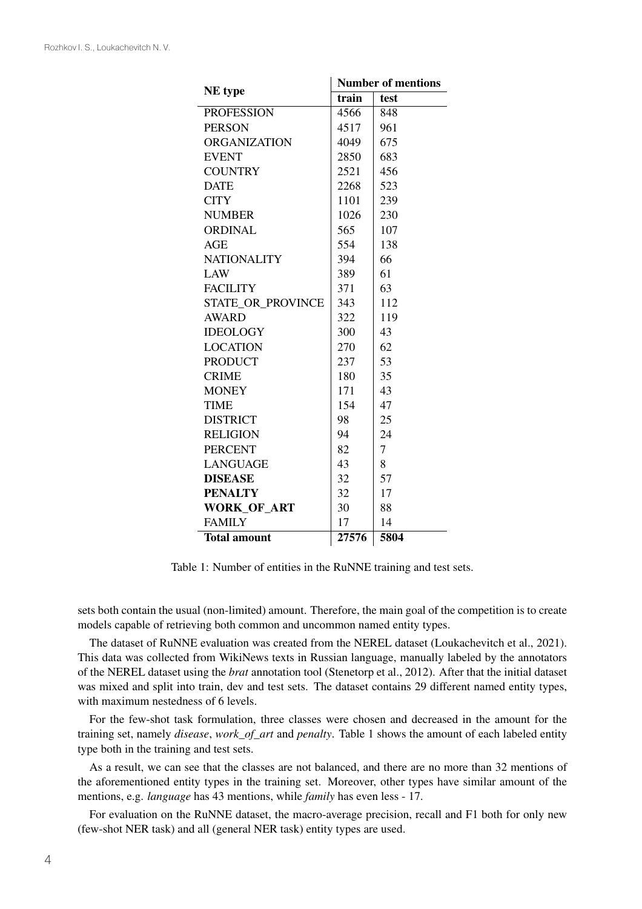| NE type             | <b>Number of mentions</b> |                |  |  |
|---------------------|---------------------------|----------------|--|--|
|                     | train                     | test           |  |  |
| <b>PROFESSION</b>   | 4566                      | 848            |  |  |
| <b>PERSON</b>       | 4517                      | 961            |  |  |
| <b>ORGANIZATION</b> | 4049                      | 675            |  |  |
| <b>EVENT</b>        | 2850                      | 683            |  |  |
| <b>COUNTRY</b>      | 2521                      | 456            |  |  |
| <b>DATE</b>         | 2268                      | 523            |  |  |
| <b>CITY</b>         | 1101                      | 239            |  |  |
| <b>NUMBER</b>       | 1026                      | 230            |  |  |
| <b>ORDINAL</b>      | 565                       | 107            |  |  |
| <b>AGE</b>          | 554                       | 138            |  |  |
| <b>NATIONALITY</b>  | 394                       | 66             |  |  |
| LAW                 | 389                       | 61             |  |  |
| <b>FACILITY</b>     | 371                       | 63             |  |  |
| STATE_OR_PROVINCE   | 343                       | 112            |  |  |
| <b>AWARD</b>        | 322                       | 119            |  |  |
| <b>IDEOLOGY</b>     | 300                       | 43             |  |  |
| <b>LOCATION</b>     | 270                       | 62             |  |  |
| <b>PRODUCT</b>      | 237                       | 53             |  |  |
| <b>CRIME</b>        | 180                       | 35             |  |  |
| <b>MONEY</b>        | 171                       | 43             |  |  |
| <b>TIME</b>         | 154                       | 47             |  |  |
| <b>DISTRICT</b>     | 98                        | 25             |  |  |
| <b>RELIGION</b>     | 94                        | 24             |  |  |
| <b>PERCENT</b>      | 82                        | $\overline{7}$ |  |  |
| <b>LANGUAGE</b>     | 43                        | 8              |  |  |
| <b>DISEASE</b>      | 32                        | 57             |  |  |
| <b>PENALTY</b>      | 32                        | 17             |  |  |
| <b>WORK OF ART</b>  | 30                        | 88             |  |  |
| <b>FAMILY</b>       | 17                        | 14             |  |  |
| <b>Total amount</b> | 27576                     | 5804           |  |  |

Table 1: Number of entities in the RuNNE training and test sets.

sets both contain the usual (non-limited) amount. Therefore, the main goal of the competition is to create models capable of retrieving both common and uncommon named entity types.

The dataset of RuNNE evaluation was created from the NEREL dataset (Loukachevitch et al., 2021). This data was collected from WikiNews texts in Russian language, manually labeled by the annotators of the NEREL dataset using the *brat* annotation tool (Stenetorp et al., 2012). After that the initial dataset was mixed and split into train, dev and test sets. The dataset contains 29 different named entity types, with maximum nestedness of 6 levels.

For the few-shot task formulation, three classes were chosen and decreased in the amount for the training set, namely *disease*, *work\_of\_art* and *penalty*. Table 1 shows the amount of each labeled entity type both in the training and test sets.

As a result, we can see that the classes are not balanced, and there are no more than 32 mentions of the aforementioned entity types in the training set. Moreover, other types have similar amount of the mentions, e.g. *language* has 43 mentions, while *family* has even less - 17.

For evaluation on the RuNNE dataset, the macro-average precision, recall and F1 both for only new (few-shot NER task) and all (general NER task) entity types are used.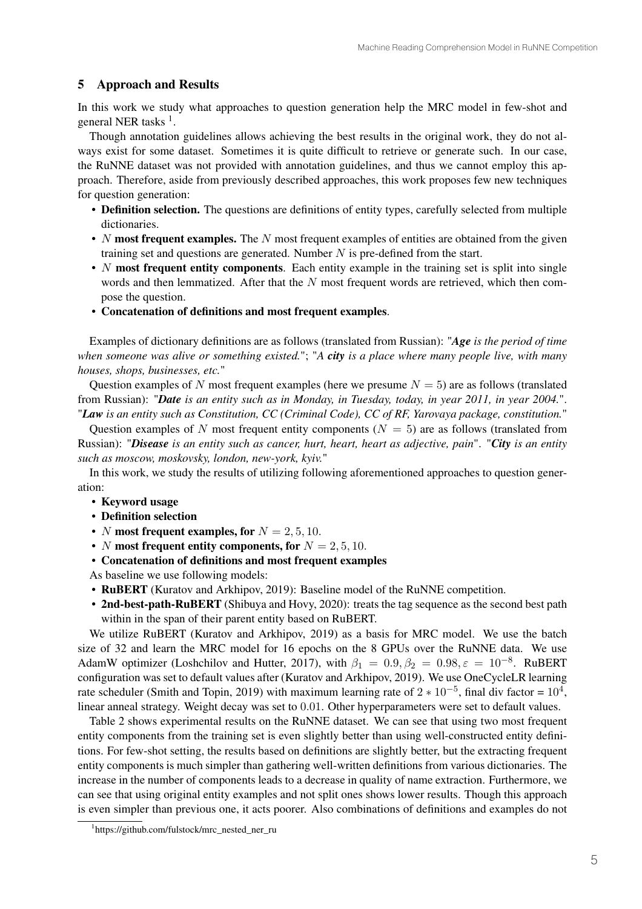## 5 Approach and Results

In this work we study what approaches to question generation help the MRC model in few-shot and general NER tasks <sup>1</sup>.

Though annotation guidelines allows achieving the best results in the original work, they do not always exist for some dataset. Sometimes it is quite difficult to retrieve or generate such. In our case, the RuNNE dataset was not provided with annotation guidelines, and thus we cannot employ this approach. Therefore, aside from previously described approaches, this work proposes few new techniques for question generation:

- Definition selection. The questions are definitions of entity types, carefully selected from multiple dictionaries.
- *N* most frequent examples. The *N* most frequent examples of entities are obtained from the given training set and questions are generated. Number  $N$  is pre-defined from the start.
- $N$  most frequent entity components. Each entity example in the training set is split into single words and then lemmatized. After that the  $N$  most frequent words are retrieved, which then compose the question.
- Concatenation of definitions and most frequent examples.

Examples of dictionary definitions are as follows (translated from Russian): "*Age is the period of time when someone was alive or something existed.*"; "*A city is a place where many people live, with many houses, shops, businesses, etc.*"

Question examples of N most frequent examples (here we presume  $N = 5$ ) are as follows (translated from Russian): "*Date is an entity such as in Monday, in Tuesday, today, in year 2011, in year 2004.*". "*Law is an entity such as Constitution, CC (Criminal Code), CC of RF, Yarovaya package, constitution.*"

Question examples of N most frequent entity components ( $N = 5$ ) are as follows (translated from Russian): "*Disease is an entity such as cancer, hurt, heart, heart as adjective, pain*". "*City is an entity such as moscow, moskovsky, london, new-york, kyiv.*"

In this work, we study the results of utilizing following aforementioned approaches to question generation:

- Keyword usage
- Definition selection
- *N* most frequent examples, for  $N = 2, 5, 10$ .
- *N* most frequent entity components, for  $N = 2, 5, 10$ .
- Concatenation of definitions and most frequent examples

As baseline we use following models:

- RuBERT (Kuratov and Arkhipov, 2019): Baseline model of the RuNNE competition.
- 2nd-best-path-RuBERT (Shibuya and Hovy, 2020): treats the tag sequence as the second best path within in the span of their parent entity based on RuBERT.

We utilize RuBERT (Kuratov and Arkhipov, 2019) as a basis for MRC model. We use the batch size of 32 and learn the MRC model for 16 epochs on the 8 GPUs over the RuNNE data. We use AdamW optimizer (Loshchilov and Hutter, 2017), with  $\beta_1 = 0.9, \beta_2 = 0.98, \varepsilon = 10^{-8}$ . RuBERT configuration was set to default values after (Kuratov and Arkhipov, 2019). We use OneCycleLR learning rate scheduler (Smith and Topin, 2019) with maximum learning rate of  $2 \times 10^{-5}$ , final div factor =  $10^4$ , linear anneal strategy. Weight decay was set to 0.01. Other hyperparameters were set to default values.

Table 2 shows experimental results on the RuNNE dataset. We can see that using two most frequent entity components from the training set is even slightly better than using well-constructed entity definitions. For few-shot setting, the results based on definitions are slightly better, but the extracting frequent entity components is much simpler than gathering well-written definitions from various dictionaries. The increase in the number of components leads to a decrease in quality of name extraction. Furthermore, we can see that using original entity examples and not split ones shows lower results. Though this approach is even simpler than previous one, it acts poorer. Also combinations of definitions and examples do not

<sup>1</sup> https://github.com/fulstock/mrc\_nested\_ner\_ru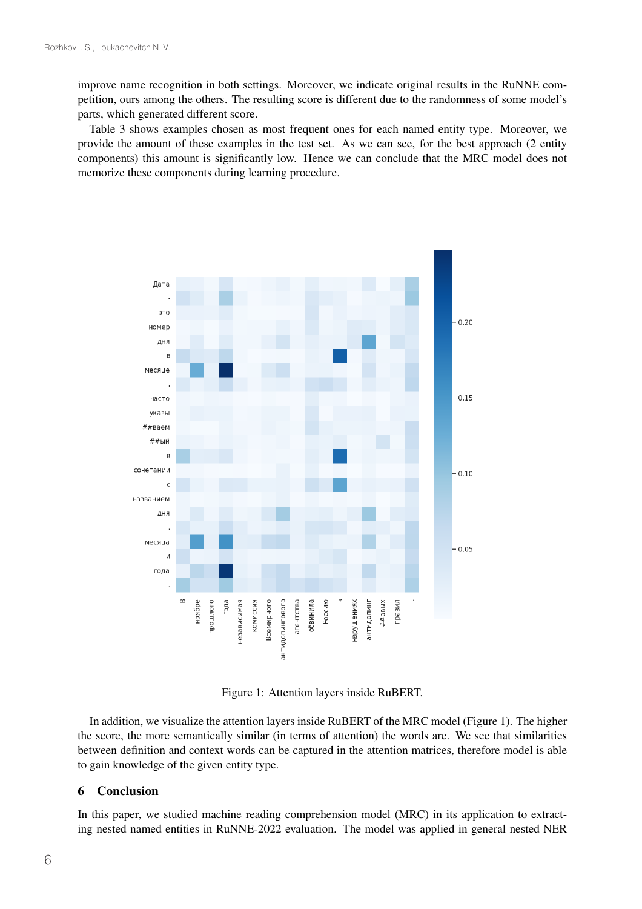improve name recognition in both settings. Moreover, we indicate original results in the RuNNE competition, ours among the others. The resulting score is different due to the randomness of some model's parts, which generated different score.

Table 3 shows examples chosen as most frequent ones for each named entity type. Moreover, we provide the amount of these examples in the test set. As we can see, for the best approach (2 entity components) this amount is significantly low. Hence we can conclude that the MRC model does not memorize these components during learning procedure.



Figure 1: Attention layers inside RuBERT.

In addition, we visualize the attention layers inside RuBERT of the MRC model (Figure 1). The higher the score, the more semantically similar (in terms of attention) the words are. We see that similarities between definition and context words can be captured in the attention matrices, therefore model is able to gain knowledge of the given entity type.

#### 6 Conclusion

In this paper, we studied machine reading comprehension model (MRC) in its application to extracting nested named entities in RuNNE-2022 evaluation. The model was applied in general nested NER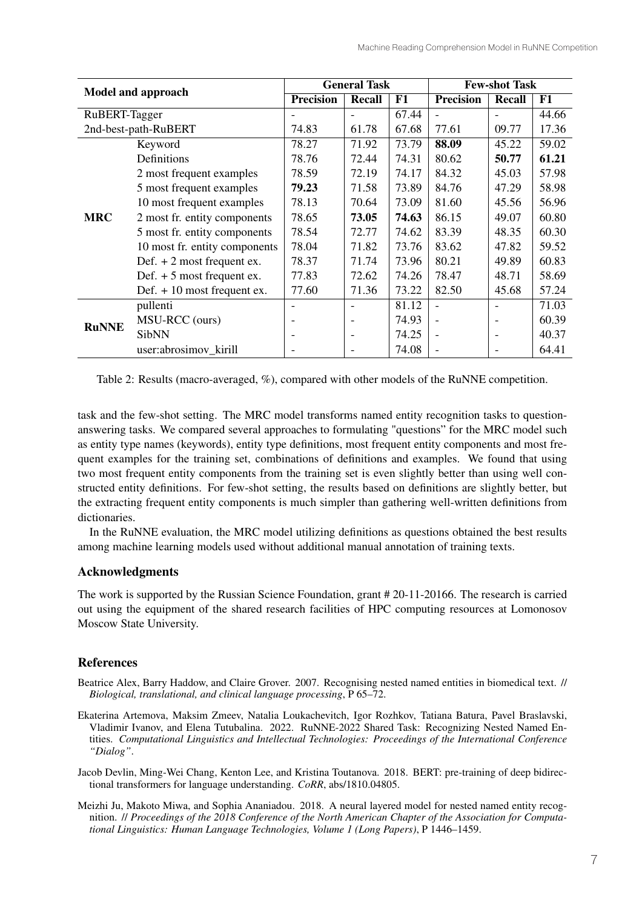| <b>Model and approach</b> |                               | <b>General Task</b>      |                          |       | <b>Few-shot Task</b>     |                          |       |
|---------------------------|-------------------------------|--------------------------|--------------------------|-------|--------------------------|--------------------------|-------|
|                           |                               | <b>Precision</b>         | Recall                   | F1    | <b>Precision</b>         | <b>Recall</b>            | F1    |
| RuBERT-Tagger             |                               |                          |                          | 67.44 |                          |                          | 44.66 |
| 2nd-best-path-RuBERT      |                               | 74.83                    | 61.78                    | 67.68 | 77.61                    | 09.77                    | 17.36 |
| <b>MRC</b>                | Keyword                       | 78.27                    | 71.92                    | 73.79 | 88.09                    | 45.22                    | 59.02 |
|                           | Definitions                   | 78.76                    | 72.44                    | 74.31 | 80.62                    | 50.77                    | 61.21 |
|                           | 2 most frequent examples      | 78.59                    | 72.19                    | 74.17 | 84.32                    | 45.03                    | 57.98 |
|                           | 5 most frequent examples      | 79.23                    | 71.58                    | 73.89 | 84.76                    | 47.29                    | 58.98 |
|                           | 10 most frequent examples     | 78.13                    | 70.64                    | 73.09 | 81.60                    | 45.56                    | 56.96 |
|                           | 2 most fr. entity components  | 78.65                    | 73.05                    | 74.63 | 86.15                    | 49.07                    | 60.80 |
|                           | 5 most fr. entity components  | 78.54                    | 72.77                    | 74.62 | 83.39                    | 48.35                    | 60.30 |
|                           | 10 most fr. entity components | 78.04                    | 71.82                    | 73.76 | 83.62                    | 47.82                    | 59.52 |
|                           | Def. $+2$ most frequent ex.   | 78.37                    | 71.74                    | 73.96 | 80.21                    | 49.89                    | 60.83 |
|                           | Def. $+5$ most frequent ex.   | 77.83                    | 72.62                    | 74.26 | 78.47                    | 48.71                    | 58.69 |
|                           | Def. $+10$ most frequent ex.  | 77.60                    | 71.36                    | 73.22 | 82.50                    | 45.68                    | 57.24 |
| <b>RuNNE</b>              | pullenti                      | $\overline{\phantom{0}}$ | $\overline{\phantom{0}}$ | 81.12 | $\overline{a}$           |                          | 71.03 |
|                           | MSU-RCC (ours)                | $\overline{\phantom{a}}$ | $\overline{\phantom{a}}$ | 74.93 | $\overline{\phantom{a}}$ | $\blacksquare$           | 60.39 |
|                           | <b>SibNN</b>                  | $\overline{\phantom{a}}$ | $\overline{\phantom{a}}$ | 74.25 | $\blacksquare$           | $\overline{\phantom{a}}$ | 40.37 |
|                           | user:abrosimov_kirill         | $\overline{\phantom{a}}$ |                          | 74.08 | $\overline{\phantom{a}}$ |                          | 64.41 |

Table 2: Results (macro-averaged, %), compared with other models of the RuNNE competition.

task and the few-shot setting. The MRC model transforms named entity recognition tasks to questionanswering tasks. We compared several approaches to formulating "questions" for the MRC model such as entity type names (keywords), entity type definitions, most frequent entity components and most frequent examples for the training set, combinations of definitions and examples. We found that using two most frequent entity components from the training set is even slightly better than using well constructed entity definitions. For few-shot setting, the results based on definitions are slightly better, but the extracting frequent entity components is much simpler than gathering well-written definitions from dictionaries.

In the RuNNE evaluation, the MRC model utilizing definitions as questions obtained the best results among machine learning models used without additional manual annotation of training texts.

### Acknowledgments

The work is supported by the Russian Science Foundation, grant # 20-11-20166. The research is carried out using the equipment of the shared research facilities of HPC computing resources at Lomonosov Moscow State University.

## References

- Beatrice Alex, Barry Haddow, and Claire Grover. 2007. Recognising nested named entities in biomedical text. // *Biological, translational, and clinical language processing*, P 65–72.
- Ekaterina Artemova, Maksim Zmeev, Natalia Loukachevitch, Igor Rozhkov, Tatiana Batura, Pavel Braslavski, Vladimir Ivanov, and Elena Tutubalina. 2022. RuNNE-2022 Shared Task: Recognizing Nested Named Entities. *Computational Linguistics and Intellectual Technologies: Proceedings of the International Conference "Dialog"*.

Jacob Devlin, Ming-Wei Chang, Kenton Lee, and Kristina Toutanova. 2018. BERT: pre-training of deep bidirectional transformers for language understanding. *CoRR*, abs/1810.04805.

Meizhi Ju, Makoto Miwa, and Sophia Ananiadou. 2018. A neural layered model for nested named entity recognition. // *Proceedings of the 2018 Conference of the North American Chapter of the Association for Computational Linguistics: Human Language Technologies, Volume 1 (Long Papers)*, P 1446–1459.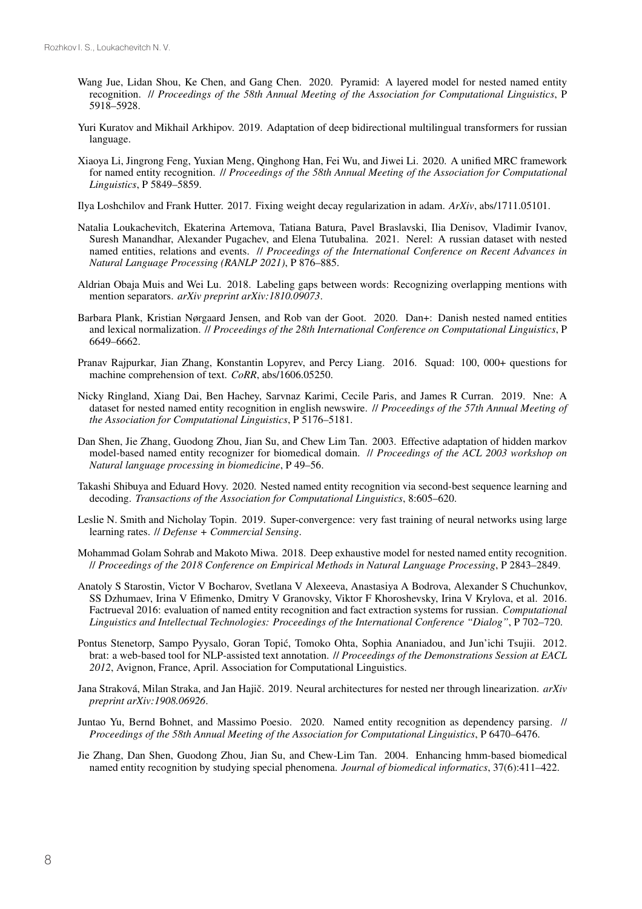- Wang Jue, Lidan Shou, Ke Chen, and Gang Chen. 2020. Pyramid: A layered model for nested named entity recognition. // *Proceedings of the 58th Annual Meeting of the Association for Computational Linguistics*, P 5918–5928.
- Yuri Kuratov and Mikhail Arkhipov. 2019. Adaptation of deep bidirectional multilingual transformers for russian language.
- Xiaoya Li, Jingrong Feng, Yuxian Meng, Qinghong Han, Fei Wu, and Jiwei Li. 2020. A unified MRC framework for named entity recognition. // *Proceedings of the 58th Annual Meeting of the Association for Computational Linguistics*, P 5849–5859.

Ilya Loshchilov and Frank Hutter. 2017. Fixing weight decay regularization in adam. *ArXiv*, abs/1711.05101.

- Natalia Loukachevitch, Ekaterina Artemova, Tatiana Batura, Pavel Braslavski, Ilia Denisov, Vladimir Ivanov, Suresh Manandhar, Alexander Pugachev, and Elena Tutubalina. 2021. Nerel: A russian dataset with nested named entities, relations and events. // *Proceedings of the International Conference on Recent Advances in Natural Language Processing (RANLP 2021)*, P 876–885.
- Aldrian Obaja Muis and Wei Lu. 2018. Labeling gaps between words: Recognizing overlapping mentions with mention separators. *arXiv preprint arXiv:1810.09073*.
- Barbara Plank, Kristian Nørgaard Jensen, and Rob van der Goot. 2020. Dan+: Danish nested named entities and lexical normalization. // *Proceedings of the 28th International Conference on Computational Linguistics*, P 6649–6662.
- Pranav Rajpurkar, Jian Zhang, Konstantin Lopyrev, and Percy Liang. 2016. Squad: 100, 000+ questions for machine comprehension of text. *CoRR*, abs/1606.05250.
- Nicky Ringland, Xiang Dai, Ben Hachey, Sarvnaz Karimi, Cecile Paris, and James R Curran. 2019. Nne: A dataset for nested named entity recognition in english newswire. // *Proceedings of the 57th Annual Meeting of the Association for Computational Linguistics*, P 5176–5181.
- Dan Shen, Jie Zhang, Guodong Zhou, Jian Su, and Chew Lim Tan. 2003. Effective adaptation of hidden markov model-based named entity recognizer for biomedical domain. // *Proceedings of the ACL 2003 workshop on Natural language processing in biomedicine*, P 49–56.
- Takashi Shibuya and Eduard Hovy. 2020. Nested named entity recognition via second-best sequence learning and decoding. *Transactions of the Association for Computational Linguistics*, 8:605–620.
- Leslie N. Smith and Nicholay Topin. 2019. Super-convergence: very fast training of neural networks using large learning rates. // *Defense + Commercial Sensing*.
- Mohammad Golam Sohrab and Makoto Miwa. 2018. Deep exhaustive model for nested named entity recognition. // *Proceedings of the 2018 Conference on Empirical Methods in Natural Language Processing*, P 2843–2849.
- Anatoly S Starostin, Victor V Bocharov, Svetlana V Alexeeva, Anastasiya A Bodrova, Alexander S Chuchunkov, SS Dzhumaev, Irina V Efimenko, Dmitry V Granovsky, Viktor F Khoroshevsky, Irina V Krylova, et al. 2016. Factrueval 2016: evaluation of named entity recognition and fact extraction systems for russian. *Computational Linguistics and Intellectual Technologies: Proceedings of the International Conference "Dialog"*, P 702–720.
- Pontus Stenetorp, Sampo Pyysalo, Goran Topić, Tomoko Ohta, Sophia Ananiadou, and Jun'ichi Tsujii. 2012. brat: a web-based tool for NLP-assisted text annotation. // *Proceedings of the Demonstrations Session at EACL 2012*, Avignon, France, April. Association for Computational Linguistics.
- Jana Straková, Milan Straka, and Jan Hajič. 2019. Neural architectures for nested ner through linearization. *arXiv preprint arXiv:1908.06926*.
- Juntao Yu, Bernd Bohnet, and Massimo Poesio. 2020. Named entity recognition as dependency parsing. // *Proceedings of the 58th Annual Meeting of the Association for Computational Linguistics*, P 6470–6476.
- Jie Zhang, Dan Shen, Guodong Zhou, Jian Su, and Chew-Lim Tan. 2004. Enhancing hmm-based biomedical named entity recognition by studying special phenomena. *Journal of biomedical informatics*, 37(6):411–422.